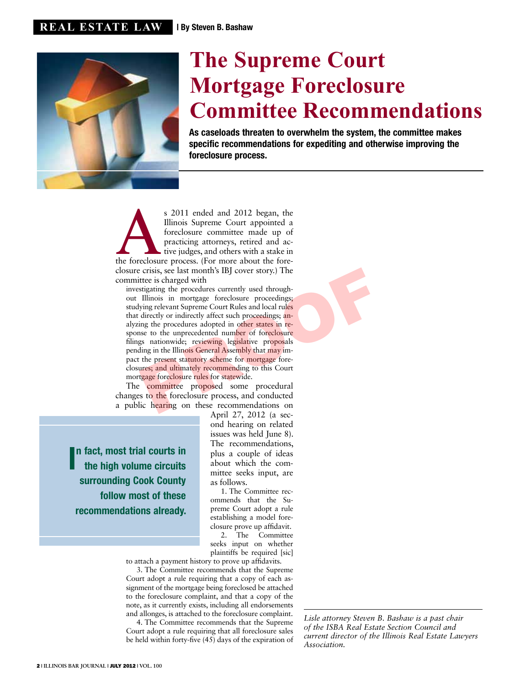

## **The Supreme Court Mortgage Foreclosure Committee Recommendations**

As caseloads threaten to overwhelm the system, the committee makes specific recommendations for expediting and otherwise improving the foreclosure process.

s 2011 ended and 2012 began, the Illinois Supreme Court appointed a foreclosure committee made up of practicing attorneys, retired and active judges, and others with a stake in the fore-Illinois Supreme Court appointed a foreclosure committee made up of practicing attorneys, retired and active judges, and others with a stake in closure crisis, see last month's IBJ cover story.) The committee is charged with

investigating the procedures currently used throughout Illinois in mortgage foreclosure proceedings; studying relevant Supreme Court Rules and local rules that directly or indirectly affect such proceedings; analyzing the procedures adopted in other states in response to the unprecedented number of foreclosure filings nationwide; reviewing legislative proposals pending in the Illinois General Assembly that may impact the present statutory scheme for mortgage foreclosures; and ultimately recommending to this Court mortgage foreclosure rules for statewide. Crisis, see last month's IBJ cover story.) The<br>ttee is charged with<br>stigating the procedures currently used through-<br>Illinois in mortgage foreclosure proceedings;<br>igng relevant Supreme Court Rules and local rules<br>ing the p

The committee proposed some procedural changes to the foreclosure process, and conducted a public hearing on these recommendations on

In fact, most trial courts in<br>the high volume circuits the high volume circuits surrounding Cook County follow most of these recommendations already.

April 27, 2012 (a second hearing on related issues was held June 8). The recommendations, plus a couple of ideas about which the committee seeks input, are as follows.

1. The Committee recommends that the Supreme Court adopt a rule establishing a model foreclosure prove up affidavit.

2. The Committee seeks input on whether plaintiffs be required [sic]

to attach a payment history to prove up affidavits.

3. The Committee recommends that the Supreme Court adopt a rule requiring that a copy of each assignment of the mortgage being foreclosed be attached to the foreclosure complaint, and that a copy of the note, as it currently exists, including all endorsements and allonges, is attached to the foreclosure complaint.

4. The Committee recommends that the Supreme Court adopt a rule requiring that all foreclosure sales be held within forty-five (45) days of the expiration of

*Lisle attorney Steven B. Bashaw is a past chair of the ISBA Real Estate Section Council and current director of the Illinois Real Estate Lawyers Association.*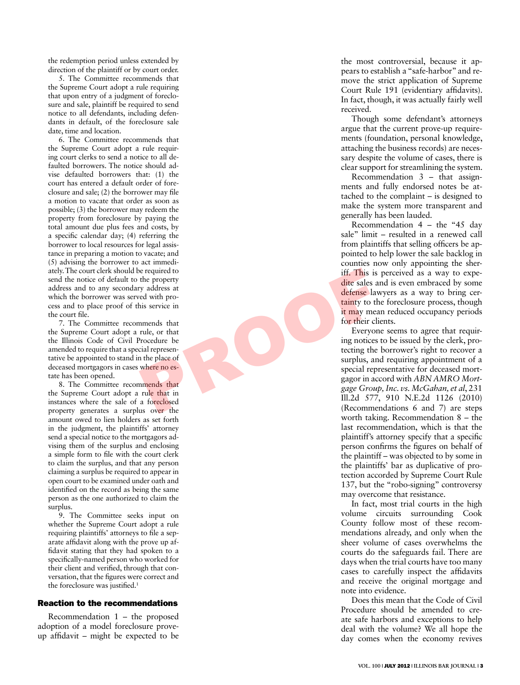the redemption period unless extended by direction of the plaintiff or by court order.

5. The Committee recommends that the Supreme Court adopt a rule requiring that upon entry of a judgment of foreclo sure and sale, plaintiff be required to send notice to all defendants, including defen dants in default, of the foreclosure sale date, time and location.

6. The Committee recommends that the Supreme Court adopt a rule requiring court clerks to send a notice to all defaulted borrowers. The notice should advise defaulted borrowers that: (1) the court has entered a default order of fore closure and sale; (2) the borrower may file a motion to vacate that order as soon as possible; (3) the borrower may redeem the property from foreclosure by paying the total amount due plus fees and costs, by a specific calendar day; (4) referring the borrower to local resources for legal assis tance in preparing a motion to vacate; and (5) advising the borrower to act immedi ately. The court clerk should be required to send the notice of default to the property address and to any secondary address at which the borrower was served with pro cess and to place proof of this service in the court file.

7. The Committee recommends that the Supreme Court adopt a rule, or that the Illinois Code of Civil Procedure be amended to require that a special represen tative be appointed to stand in the place of deceased mortgagors in cases where no es tate has been opened.

8. The Committee recommends that the Supreme Court adopt a rule that in instances where the sale of a foreclosed property generates a surplus over the amount owed to lien holders as set forth in the judgment, the plaintiffs' attorney send a special notice to the mortgagors ad vising them of the surplus and enclosing a simple form to file with the court clerk to claim the surplus, and that any person claiming a surplus be required to appear in open court to be examined under oath and identified on the record as being the same person as the one authorized to claim the surplus.

9. The Committee seeks input on whether the Supreme Court adopt a rule requiring plaintiffs' attorneys to file a sep arate affidavit along with the prove up af fidavit stating that they had spoken to a specifically-named person who worked for their client and verified, through that con versation, that the figures were correct and the foreclosure was justified. 1

## Reaction to the recommendations

Recommendation 1 – the proposed adoption of a model foreclosure proveup affidavit – might be expected to be

the most controversial, because it ap pears to establish a "safe-harbor" and re move the strict application of Supreme Court Rule 191 (evidentiary affidavits). In fact, though, it was actually fairly well received.

Though some defendant's attorneys argue that the current prove-up require ments (foundation, personal knowledge, attaching the business records) are neces sary despite the volume of cases, there is clear support for streamlining the system.

Recommendation 3 – that assign ments and fully endorsed notes be at tached to the complaint – is designed to make the system more transparent and generally has been lauded.

Recommendation 4 – the "45 day sale" limit – resulted in a renewed call from plaintiffs that selling officers be ap pointed to help lower the sale backlog in counties now only appointing the sheriff. This is perceived as a way to expedite sales and is even embraced by some defense lawyers as a way to bring certainty to the foreclosure process, though it may mean reduced occupancy periods for their clients.

Everyone seems to agree that requiring notices to be issued by the clerk, protecting the borrower's right to recover a surplus, and requiring appointment of a special representative for deceased mort gagor in accord with *ABN AMRO Mort gage Group, Inc. vs. McGahan, et al*, 231 Ill.2d 577, 910 N.E.2d 1126 (2010) (Recommendations 6 and 7) are steps worth taking. Recommendation 8 – the last recommendation, which is that the plaintiff's attorney specify that a specific person confirms the figures on behalf of the plaintiff – was objected to by some in the plaintiffs' bar as duplicative of pro tection accorded by Supreme Court Rule 137, but the "robo-signing" controversy may overcome that resistance. e required to<br>
the property<br>
of the property<br>
of the property<br>
is service in<br>
although the property<br>
in may meands that<br>
rule, or that<br>
Procedure be<br>
in may meands that<br>
Procedure be<br>
in may meands that<br>
Procedure be<br>
in m

> In fact, most trial courts in the high volume circuits surrounding Cook County follow most of these recom mendations already, and only when the sheer volume of cases overwhelms the courts do the safeguards fail. There are days when the trial courts have too many cases to carefully inspect the affidavits and receive the original mortgage and note into evidence.

> Does this mean that the Code of Civil Procedure should be amended to cre ate safe harbors and exceptions to help deal with the volume? We all hope the day comes when the economy revives